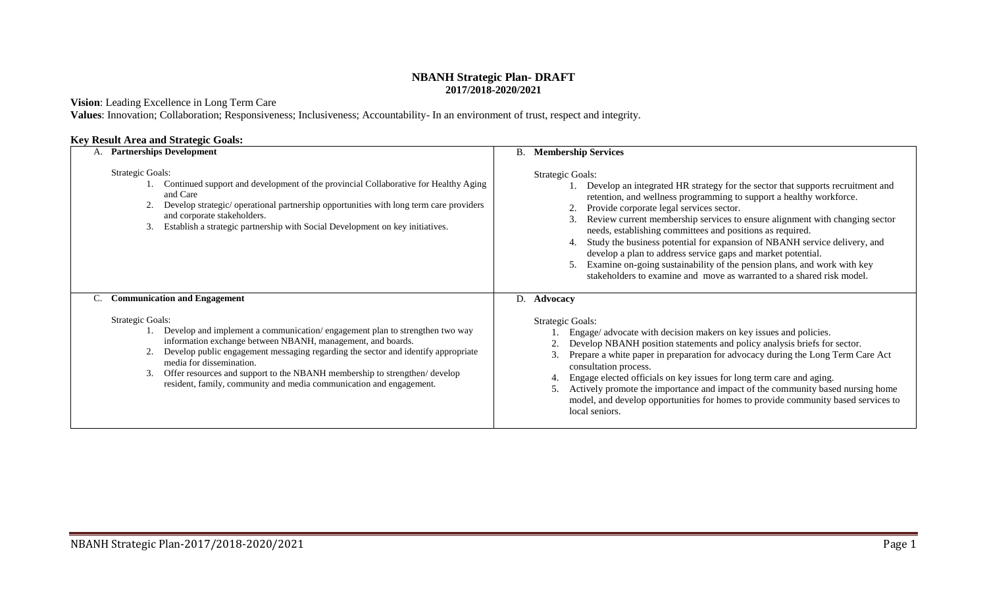## **NBANH Strategic Plan- DRAFT 2017/2018-2020/2021**

## **Vision**: Leading Excellence in Long Term Care

**Values**: Innovation; Collaboration; Responsiveness; Inclusiveness; Accountability- In an environment of trust, respect and integrity.

## **Key Result Area and Strategic Goals:**

| A. Partnerships Development                                                                                                                                                                                                                                                                                                                                                                                                                      | <b>Membership Services</b><br>В.                                                                                                                                                                                                                                                                                                                                                                                                                                                                                                                                                                                                                                                      |
|--------------------------------------------------------------------------------------------------------------------------------------------------------------------------------------------------------------------------------------------------------------------------------------------------------------------------------------------------------------------------------------------------------------------------------------------------|---------------------------------------------------------------------------------------------------------------------------------------------------------------------------------------------------------------------------------------------------------------------------------------------------------------------------------------------------------------------------------------------------------------------------------------------------------------------------------------------------------------------------------------------------------------------------------------------------------------------------------------------------------------------------------------|
| <b>Strategic Goals:</b><br>Continued support and development of the provincial Collaborative for Healthy Aging<br>and Care<br>Develop strategic/ operational partnership opportunities with long term care providers<br>and corporate stakeholders.<br>Establish a strategic partnership with Social Development on key initiatives.                                                                                                             | <b>Strategic Goals:</b><br>Develop an integrated HR strategy for the sector that supports recruitment and<br>retention, and wellness programming to support a healthy workforce.<br>Provide corporate legal services sector.<br>Review current membership services to ensure alignment with changing sector<br>needs, establishing committees and positions as required.<br>Study the business potential for expansion of NBANH service delivery, and<br>4.<br>develop a plan to address service gaps and market potential.<br>Examine on-going sustainability of the pension plans, and work with key<br>5.<br>stakeholders to examine and move as warranted to a shared risk model. |
| <b>Communication and Engagement</b><br>C.                                                                                                                                                                                                                                                                                                                                                                                                        | D.<br>Advocacy                                                                                                                                                                                                                                                                                                                                                                                                                                                                                                                                                                                                                                                                        |
| <b>Strategic Goals:</b><br>Develop and implement a communication/engagement plan to strengthen two way<br>information exchange between NBANH, management, and boards.<br>Develop public engagement messaging regarding the sector and identify appropriate<br>media for dissemination.<br>Offer resources and support to the NBANH membership to strengthen/develop<br>3.<br>resident, family, community and media communication and engagement. | <b>Strategic Goals:</b><br>Engage/ advocate with decision makers on key issues and policies.<br>Develop NBANH position statements and policy analysis briefs for sector.<br>Prepare a white paper in preparation for advocacy during the Long Term Care Act<br>consultation process.<br>Engage elected officials on key issues for long term care and aging.<br>4.<br>Actively promote the importance and impact of the community based nursing home<br>model, and develop opportunities for homes to provide community based services to<br>local seniors.                                                                                                                           |